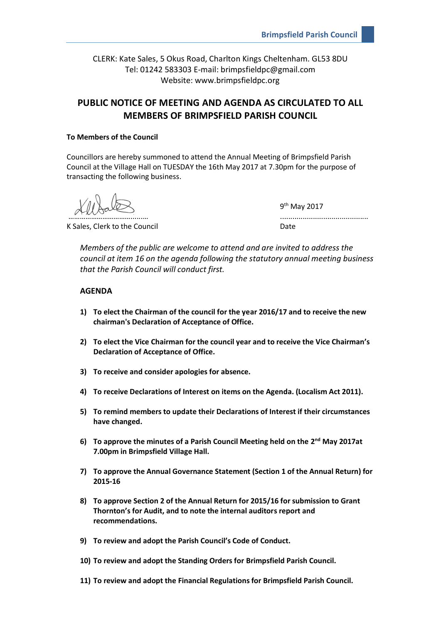CLERK: Kate Sales, 5 Okus Road, Charlton Kings Cheltenham. GL53 8DU Tel: 01242 583303 E-mail: brimpsfieldpc@gmail.com Website: www.brimpsfieldpc.org

# **PUBLIC NOTICE OF MEETING AND AGENDA AS CIRCULATED TO ALL MEMBERS OF BRIMPSFIELD PARISH COUNCIL**

## **To Members of the Council**

Councillors are hereby summoned to attend the Annual Meeting of Brimpsfield Parish Council at the Village Hall on TUESDAY the 16th May 2017 at 7.30pm for the purpose of transacting the following business.

K Sales, Clerk to the Council **Example 20 and Connect Connect A** Date

9<sup>th</sup> May 2017 ………………………………………………

*Members of the public are welcome to attend and are invited to address the council at item 16 on the agenda following the statutory annual meeting business that the Parish Council will conduct first.*

# **AGENDA**

- **1) To elect the Chairman of the council for the year 2016/17 and to receive the new chairman's Declaration of Acceptance of Office.**
- **2) To elect the Vice Chairman for the council year and to receive the Vice Chairman's Declaration of Acceptance of Office.**
- **3) To receive and consider apologies for absence.**
- **4) To receive Declarations of Interest on items on the Agenda. (Localism Act 2011).**
- **5) To remind members to update their Declarations of Interest if their circumstances have changed.**
- 6) To approve the minutes of a Parish Council Meeting held on the 2<sup>nd</sup> May 2017at **7.00pm in Brimpsfield Village Hall.**
- **7) To approve the Annual Governance Statement (Section 1 of the Annual Return) for 2015-16**
- **8) To approve Section 2 of the Annual Return for 2015/16 for submission to Grant Thornton's for Audit, and to note the internal auditors report and recommendations.**
- **9) To review and adopt the Parish Council's Code of Conduct.**
- **10) To review and adopt the Standing Orders for Brimpsfield Parish Council.**
- **11) To review and adopt the Financial Regulations for Brimpsfield Parish Council.**